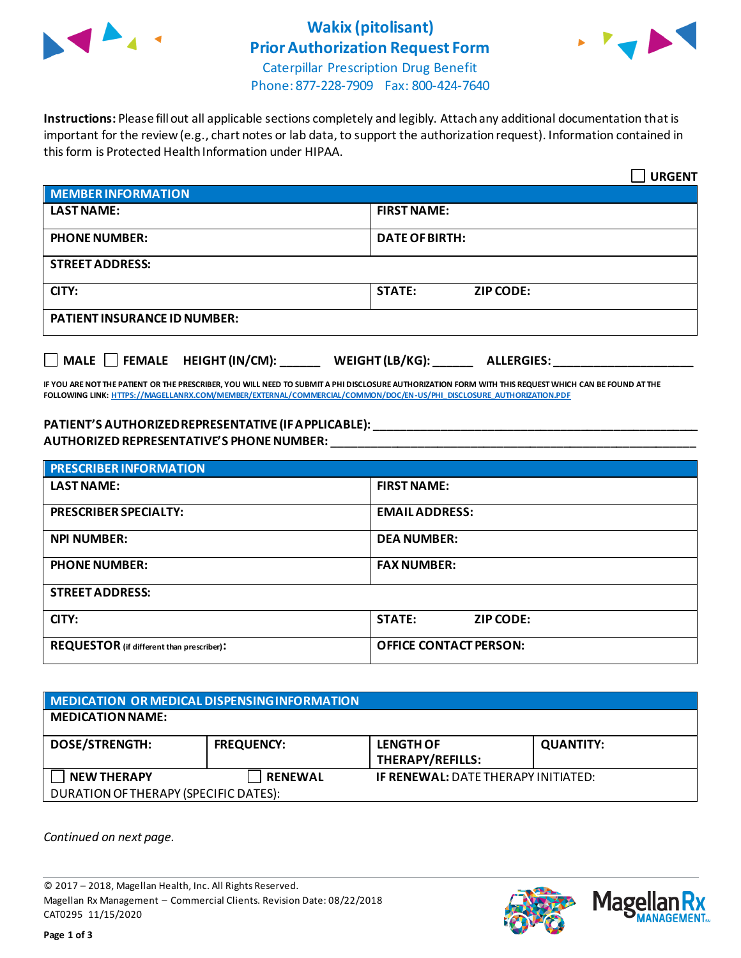

## **Wakix (pitolisant) Prior Authorization Request Form**



Caterpillar Prescription Drug Benefit Phone: 877-228-7909 Fax: 800-424-7640

**Instructions:** Please fill out all applicable sections completely and legibly. Attach any additional documentation that is important for the review (e.g., chart notes or lab data, to support the authorization request). Information contained in this form is Protected Health Information under HIPAA.

|                                                                                   | <b>URGENT</b>                     |  |  |
|-----------------------------------------------------------------------------------|-----------------------------------|--|--|
| <b>MEMBER INFORMATION</b>                                                         |                                   |  |  |
| <b>LAST NAME:</b>                                                                 | <b>FIRST NAME:</b>                |  |  |
| <b>PHONE NUMBER:</b>                                                              | <b>DATE OF BIRTH:</b>             |  |  |
| <b>STREET ADDRESS:</b>                                                            |                                   |  |  |
| CITY:                                                                             | <b>STATE:</b><br><b>ZIP CODE:</b> |  |  |
| <b>PATIENT INSURANCE ID NUMBER:</b>                                               |                                   |  |  |
| $\Box$ MALE $\Box$ FEMALE HEIGHT (IN/CM):<br>WEIGHT (LB/KG):<br><b>ALLERGIES:</b> |                                   |  |  |

**IF YOU ARE NOT THE PATIENT OR THE PRESCRIBER, YOU WILL NEED TO SUBMIT A PHI DISCLOSURE AUTHORIZATION FORM WITH THIS REQUEST WHICH CAN BE FOUND AT THE FOLLOWING LINK[: HTTPS://MAGELLANRX.COM/MEMBER/EXTERNAL/COMMERCIAL/COMMON/DOC/EN-US/PHI\\_DISCLOSURE\\_AUTHORIZATION.PDF](https://magellanrx.com/member/external/commercial/common/doc/en-us/PHI_Disclosure_Authorization.pdf)**

#### **PATIENT'S AUTHORIZED REPRESENTATIVE (IF APPLICABLE): \_\_\_\_\_\_\_\_\_\_\_\_\_\_\_\_\_\_\_\_\_\_\_\_\_\_\_\_\_\_\_\_\_\_\_\_\_\_\_\_\_\_\_\_\_\_\_\_\_ AUTHORIZED REPRESENTATIVE'S PHONE NUMBER:** \_\_\_\_\_\_\_\_\_\_\_\_\_\_\_\_\_\_\_\_\_\_\_\_\_\_\_\_\_\_\_\_\_\_\_\_\_\_\_\_\_\_\_\_\_\_\_\_\_\_\_\_\_\_\_

| <b>PRESCRIBER INFORMATION</b>             |                               |  |
|-------------------------------------------|-------------------------------|--|
| <b>LAST NAME:</b>                         | <b>FIRST NAME:</b>            |  |
| <b>PRESCRIBER SPECIALTY:</b>              | <b>EMAIL ADDRESS:</b>         |  |
| <b>NPI NUMBER:</b>                        | <b>DEA NUMBER:</b>            |  |
| <b>PHONE NUMBER:</b>                      | <b>FAX NUMBER:</b>            |  |
| <b>STREET ADDRESS:</b>                    |                               |  |
| CITY:                                     | <b>STATE:</b><br>ZIP CODE:    |  |
| REQUESTOR (if different than prescriber): | <b>OFFICE CONTACT PERSON:</b> |  |

| MEDICATION OR MEDICAL DISPENSING INFORMATION |                   |                                            |                  |  |  |
|----------------------------------------------|-------------------|--------------------------------------------|------------------|--|--|
| <b>MEDICATION NAME:</b>                      |                   |                                            |                  |  |  |
| <b>DOSE/STRENGTH:</b>                        | <b>FREQUENCY:</b> | <b>LENGTH OF</b><br>THERAPY/REFILLS:       | <b>QUANTITY:</b> |  |  |
| <b>NEW THERAPY</b>                           | <b>RENEWAL</b>    | <b>IF RENEWAL: DATE THERAPY INITIATED:</b> |                  |  |  |
| DURATION OF THERAPY (SPECIFIC DATES):        |                   |                                            |                  |  |  |

*Continued on next page.*

© 2017 – 2018, Magellan Health, Inc. All Rights Reserved. Magellan Rx Management – Commercial Clients. Revision Date: 08/22/2018 CAT0295 11/15/2020



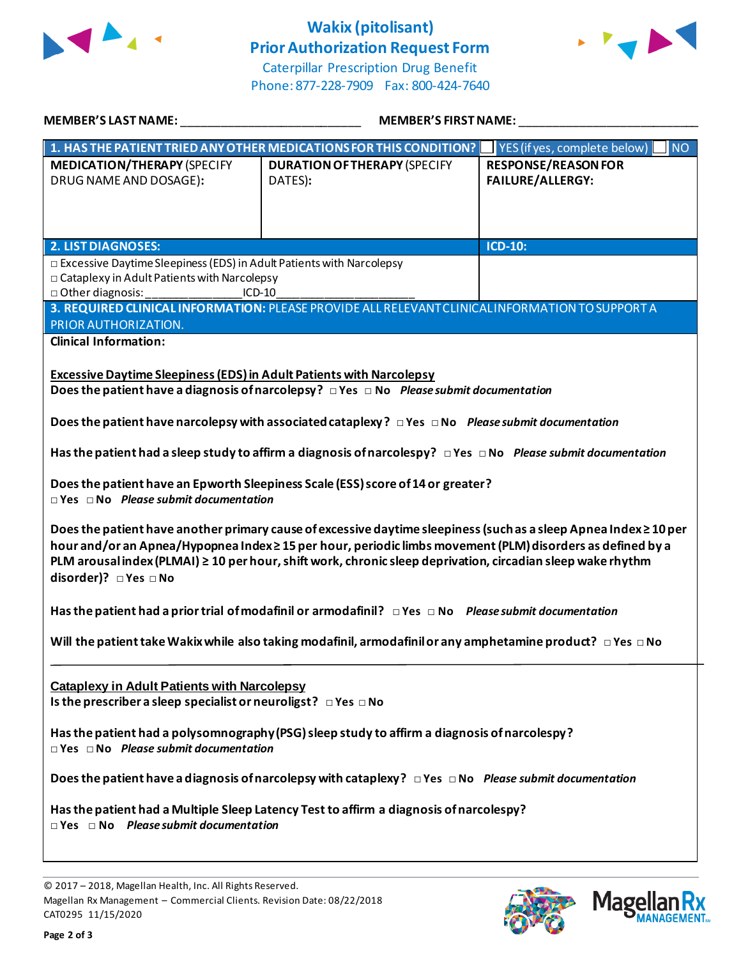

# **Wakix (pitolisant) Prior Authorization Request Form**



Caterpillar Prescription Drug Benefit Phone: 877-228-7909 Fax: 800-424-7640

| MEMBER'S LAST NAME:                                                                                                                                                                                                                                                                                                                                                                                                                                                                                                                                                                                                                                                                                                                                                                                                                                                                                                                                                                                                                                            | <b>MEMBER'S FIRST NAME:</b>                                                                                                                                                                                                            |                                                |  |  |
|----------------------------------------------------------------------------------------------------------------------------------------------------------------------------------------------------------------------------------------------------------------------------------------------------------------------------------------------------------------------------------------------------------------------------------------------------------------------------------------------------------------------------------------------------------------------------------------------------------------------------------------------------------------------------------------------------------------------------------------------------------------------------------------------------------------------------------------------------------------------------------------------------------------------------------------------------------------------------------------------------------------------------------------------------------------|----------------------------------------------------------------------------------------------------------------------------------------------------------------------------------------------------------------------------------------|------------------------------------------------|--|--|
|                                                                                                                                                                                                                                                                                                                                                                                                                                                                                                                                                                                                                                                                                                                                                                                                                                                                                                                                                                                                                                                                | 1. HAS THE PATIENT TRIED ANY OTHER MEDICATIONS FOR THIS CONDITION?                                                                                                                                                                     | YES (if yes, complete below)<br><b>NO</b>      |  |  |
| <b>MEDICATION/THERAPY (SPECIFY</b><br>DRUG NAME AND DOSAGE):                                                                                                                                                                                                                                                                                                                                                                                                                                                                                                                                                                                                                                                                                                                                                                                                                                                                                                                                                                                                   | <b>DURATION OF THERAPY (SPECIFY</b><br>DATES):                                                                                                                                                                                         | <b>RESPONSE/REASON FOR</b><br>FAILURE/ALLERGY: |  |  |
| <b>2. LIST DIAGNOSES:</b>                                                                                                                                                                                                                                                                                                                                                                                                                                                                                                                                                                                                                                                                                                                                                                                                                                                                                                                                                                                                                                      |                                                                                                                                                                                                                                        | <b>ICD-10:</b>                                 |  |  |
|                                                                                                                                                                                                                                                                                                                                                                                                                                                                                                                                                                                                                                                                                                                                                                                                                                                                                                                                                                                                                                                                | □ Excessive Daytime Sleepiness (EDS) in Adult Patients with Narcolepsy<br>□ Cataplexy in Adult Patients with Narcolepsy<br>$ICD-10$<br>3. REQUIRED CLINICAL INFORMATION: PLEASE PROVIDE ALL RELEVANT CLINICAL INFORMATION TO SUPPORT A |                                                |  |  |
| PRIOR AUTHORIZATION.                                                                                                                                                                                                                                                                                                                                                                                                                                                                                                                                                                                                                                                                                                                                                                                                                                                                                                                                                                                                                                           |                                                                                                                                                                                                                                        |                                                |  |  |
| <b>Clinical Information:</b>                                                                                                                                                                                                                                                                                                                                                                                                                                                                                                                                                                                                                                                                                                                                                                                                                                                                                                                                                                                                                                   |                                                                                                                                                                                                                                        |                                                |  |  |
| <b>Excessive Daytime Sleepiness (EDS) in Adult Patients with Narcolepsy</b><br>Does the patient have a diagnosis of narcolepsy? $\Box$ Yes $\Box$ No Please submit documentation<br>Does the patient have narcolepsy with associated cataplexy? $\Box$ Yes $\Box$ No Please submit documentation<br>Has the patient had a sleep study to affirm a diagnosis of narcolespy? $\Box$ Yes $\Box$ No Please submit documentation<br>Does the patient have an Epworth Sleepiness Scale (ESS) score of 14 or greater?<br>$\Box$ Yes $\Box$ No Please submit documentation<br>Does the patient have another primary cause of excessive daytime sleepiness (such as a sleep Apnea Index ≥ 10 per<br>hour and/or an Apnea/Hypopnea Index≥15 per hour, periodic limbs movement (PLM) disorders as defined by a<br>PLM arousal index (PLMAI) ≥ 10 per hour, shift work, chronic sleep deprivation, circadian sleep wake rhythm<br>disorder)? □ Yes □ No<br>Has the patient had a prior trial of modafinil or armodafinil? $\Box$ Yes $\Box$ No Please submit documentation |                                                                                                                                                                                                                                        |                                                |  |  |
|                                                                                                                                                                                                                                                                                                                                                                                                                                                                                                                                                                                                                                                                                                                                                                                                                                                                                                                                                                                                                                                                |                                                                                                                                                                                                                                        |                                                |  |  |
| Will the patient take Wakix while also taking modafinil, armodafinil or any amphetamine product? $\Box$ Yes $\Box$ No                                                                                                                                                                                                                                                                                                                                                                                                                                                                                                                                                                                                                                                                                                                                                                                                                                                                                                                                          |                                                                                                                                                                                                                                        |                                                |  |  |
| <b>Cataplexy in Adult Patients with Narcolepsy</b><br>Is the prescriber a sleep specialist or neuroligst? $\Box$ Yes $\Box$ No<br>Has the patient had a polysomnography (PSG) sleep study to affirm a diagnosis of narcolespy?<br>$\Box$ Yes $\Box$ No Please submit documentation<br>Does the patient have a diagnosis of narcolepsy with cataplexy? $\Box$ Yes $\Box$ No Please submit documentation<br>Has the patient had a Multiple Sleep Latency Test to affirm a diagnosis of narcolespy?<br>$\Box$ Yes $\Box$ No Please submit documentation                                                                                                                                                                                                                                                                                                                                                                                                                                                                                                           |                                                                                                                                                                                                                                        |                                                |  |  |
|                                                                                                                                                                                                                                                                                                                                                                                                                                                                                                                                                                                                                                                                                                                                                                                                                                                                                                                                                                                                                                                                |                                                                                                                                                                                                                                        |                                                |  |  |